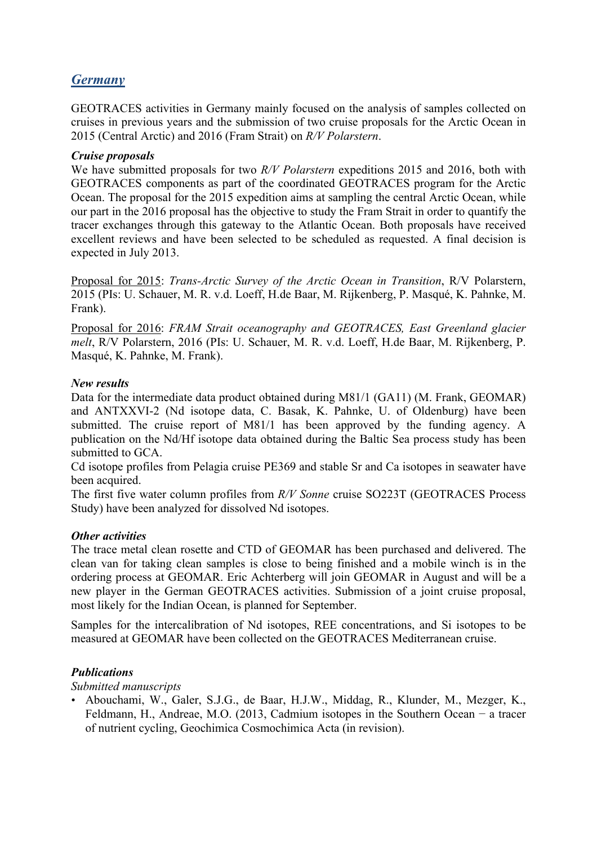# *Germany*

GEOTRACES activities in Germany mainly focused on the analysis of samples collected on cruises in previous years and the submission of two cruise proposals for the Arctic Ocean in 2015 (Central Arctic) and 2016 (Fram Strait) on *R/V Polarstern*.

#### *Cruise proposals*

We have submitted proposals for two *R/V Polarstern* expeditions 2015 and 2016, both with GEOTRACES components as part of the coordinated GEOTRACES program for the Arctic Ocean. The proposal for the 2015 expedition aims at sampling the central Arctic Ocean, while our part in the 2016 proposal has the objective to study the Fram Strait in order to quantify the tracer exchanges through this gateway to the Atlantic Ocean. Both proposals have received excellent reviews and have been selected to be scheduled as requested. A final decision is expected in July 2013.

Proposal for 2015: *Trans-Arctic Survey of the Arctic Ocean in Transition*, R/V Polarstern, 2015 (PIs: U. Schauer, M. R. v.d. Loeff, H.de Baar, M. Rijkenberg, P. Masqué, K. Pahnke, M. Frank).

Proposal for 2016: *FRAM Strait oceanography and GEOTRACES, East Greenland glacier melt*, R/V Polarstern, 2016 (PIs: U. Schauer, M. R. v.d. Loeff, H.de Baar, M. Rijkenberg, P. Masqué, K. Pahnke, M. Frank).

#### *New results*

Data for the intermediate data product obtained during M81/1 (GA11) (M. Frank, GEOMAR) and ANTXXVI-2 (Nd isotope data, C. Basak, K. Pahnke, U. of Oldenburg) have been submitted. The cruise report of M81/1 has been approved by the funding agency. A publication on the Nd/Hf isotope data obtained during the Baltic Sea process study has been submitted to GCA.

Cd isotope profiles from Pelagia cruise PE369 and stable Sr and Ca isotopes in seawater have been acquired.

The first five water column profiles from *R/V Sonne* cruise SO223T (GEOTRACES Process Study) have been analyzed for dissolved Nd isotopes.

#### *Other activities*

The trace metal clean rosette and CTD of GEOMAR has been purchased and delivered. The clean van for taking clean samples is close to being finished and a mobile winch is in the ordering process at GEOMAR. Eric Achterberg will join GEOMAR in August and will be a new player in the German GEOTRACES activities. Submission of a joint cruise proposal, most likely for the Indian Ocean, is planned for September.

Samples for the intercalibration of Nd isotopes, REE concentrations, and Si isotopes to be measured at GEOMAR have been collected on the GEOTRACES Mediterranean cruise.

### *Publications*

*Submitted manuscripts*

• Abouchami, W., Galer, S.J.G., de Baar, H.J.W., Middag, R., Klunder, M., Mezger, K., Feldmann, H., Andreae, M.O. (2013, Cadmium isotopes in the Southern Ocean − a tracer of nutrient cycling, Geochimica Cosmochimica Acta (in revision).